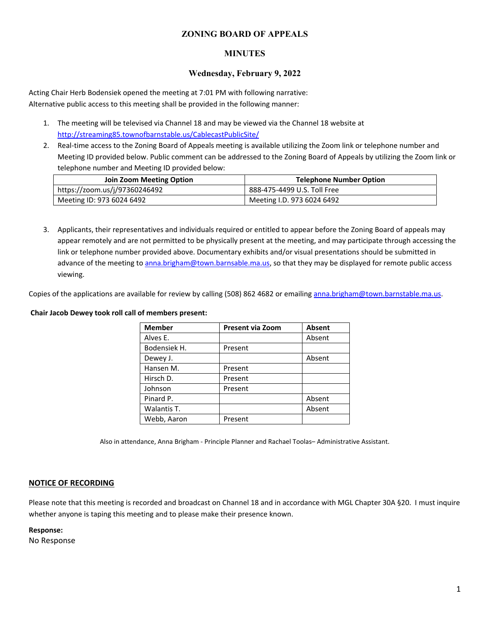## **ZONING BOARD OF APPEALS**

### **MINUTES**

### **Wednesday, February 9, 2022**

Acting Chair Herb Bodensiek opened the meeting at 7:01 PM with following narrative: Alternative public access to this meeting shall be provided in the following manner:

- 1. The meeting will be televised via Channel 18 and may be viewed via the Channel 18 website at http://streaming85.townofbarnstable.us/CablecastPublicSite/
- 2. Real-time access to the Zoning Board of Appeals meeting is available utilizing the Zoom link or telephone number and Meeting ID provided below. Public comment can be addressed to the Zoning Board of Appeals by utilizing the Zoom link or telephone number and Meeting ID provided below:

| Join Zoom Meeting Option      | <b>Telephone Number Option</b> |  |
|-------------------------------|--------------------------------|--|
| https://zoom.us/j/97360246492 | 888-475-4499 U.S. Toll Free    |  |
| Meeting ID: 973 6024 6492     | Meeting I.D. 973 6024 6492     |  |

3. Applicants, their representatives and individuals required or entitled to appear before the Zoning Board of appeals may appear remotely and are not permitted to be physically present at the meeting, and may participate through accessing the link or telephone number provided above. Documentary exhibits and/or visual presentations should be submitted in advance of the meeting to anna.brigham@town.barnsable.ma.us, so that they may be displayed for remote public access viewing.

Copies of the applications are available for review by calling (508) 862 4682 or emailing anna.brigham@town.barnstable.ma.us.

#### **Chair Jacob Dewey took roll call of members present:**

| <b>Member</b> | Present via Zoom | Absent |
|---------------|------------------|--------|
| Alves E.      |                  | Absent |
| Bodensiek H.  | Present          |        |
| Dewey J.      |                  | Absent |
| Hansen M.     | Present          |        |
| Hirsch D.     | Present          |        |
| Johnson       | Present          |        |
| Pinard P.     |                  | Absent |
| Walantis T.   |                  | Absent |
| Webb, Aaron   | Present          |        |

Also in attendance, Anna Brigham - Principle Planner and Rachael Toolas– Administrative Assistant.

#### **NOTICE OF RECORDING**

Please note that this meeting is recorded and broadcast on Channel 18 and in accordance with MGL Chapter 30A §20. I must inquire whether anyone is taping this meeting and to please make their presence known.

#### **Response:**

No Response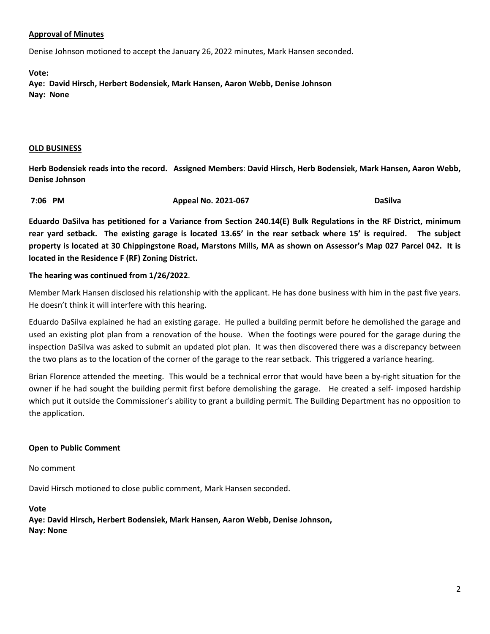# **Approval of Minutes**

Denise Johnson motioned to accept the January 26, 2022 minutes, Mark Hansen seconded.

**Vote:** 

**Aye: David Hirsch, Herbert Bodensiek, Mark Hansen, Aaron Webb, Denise Johnson Nay: None** 

#### **OLD BUSINESS**

**Herb Bodensiek reads into the record. Assigned Members**: **David Hirsch, Herb Bodensiek, Mark Hansen, Aaron Webb, Denise Johnson** 

 **7:06 PM Appeal No. 2021-067 DaSilva** 

**Eduardo DaSilva has petitioned for a Variance from Section 240.14(E) Bulk Regulations in the RF District, minimum rear yard setback. The existing garage is located 13.65' in the rear setback where 15' is required. The subject property is located at 30 Chippingstone Road, Marstons Mills, MA as shown on Assessor's Map 027 Parcel 042. It is located in the Residence F (RF) Zoning District.** 

# **The hearing was continued from 1/26/2022**.

Member Mark Hansen disclosed his relationship with the applicant. He has done business with him in the past five years. He doesn't think it will interfere with this hearing.

Eduardo DaSilva explained he had an existing garage. He pulled a building permit before he demolished the garage and used an existing plot plan from a renovation of the house. When the footings were poured for the garage during the inspection DaSilva was asked to submit an updated plot plan. It was then discovered there was a discrepancy between the two plans as to the location of the corner of the garage to the rear setback. This triggered a variance hearing.

Brian Florence attended the meeting. This would be a technical error that would have been a by-right situation for the owner if he had sought the building permit first before demolishing the garage. He created a self- imposed hardship which put it outside the Commissioner's ability to grant a building permit. The Building Department has no opposition to the application.

## **Open to Public Comment**

No comment

David Hirsch motioned to close public comment, Mark Hansen seconded.

#### **Vote**

**Aye: David Hirsch, Herbert Bodensiek, Mark Hansen, Aaron Webb, Denise Johnson, Nay: None**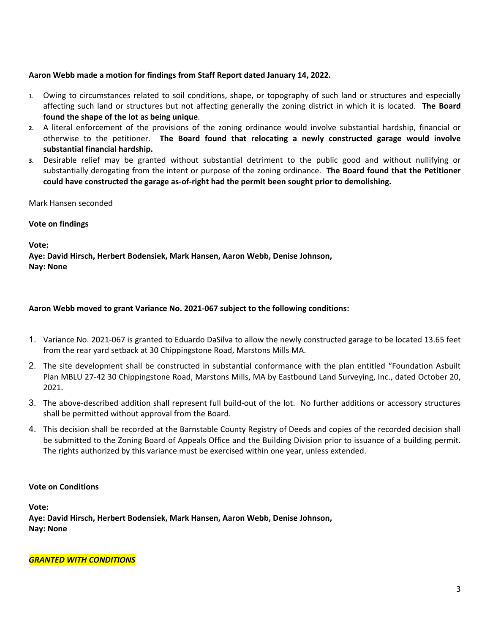# **Aaron Webb made a motion for findings from Staff Report dated January 14, 2022.**

- 1. Owing to circumstances related to soil conditions, shape, or topography of such land or structures and especially affecting such land or structures but not affecting generally the zoning district in which it is located. **The Board found the shape of the lot as being unique**.
- **2.** A literal enforcement of the provisions of the zoning ordinance would involve substantial hardship, financial or otherwise to the petitioner. **The Board found that relocating a newly constructed garage would involve substantial financial hardship.**
- **3.** Desirable relief may be granted without substantial detriment to the public good and without nullifying or substantially derogating from the intent or purpose of the zoning ordinance. **The Board found that the Petitioner could have constructed the garage as-of-right had the permit been sought prior to demolishing.**

### Mark Hansen seconded

## **Vote on findings**

**Vote:** 

**Aye: David Hirsch, Herbert Bodensiek, Mark Hansen, Aaron Webb, Denise Johnson, Nay: None**

# **Aaron Webb moved to grant Variance No. 2021-067 subject to the following conditions:**

- 1. Variance No. 2021-067 is granted to Eduardo DaSilva to allow the newly constructed garage to be located 13.65 feet from the rear yard setback at 30 Chippingstone Road, Marstons Mills MA.
- 2. The site development shall be constructed in substantial conformance with the plan entitled "Foundation Asbuilt Plan MBLU 27-42 30 Chippingstone Road, Marstons Mills, MA by Eastbound Land Surveying, Inc., dated October 20, 2021.
- 3. The above-described addition shall represent full build-out of the lot. No further additions or accessory structures shall be permitted without approval from the Board.
- 4. This decision shall be recorded at the Barnstable County Registry of Deeds and copies of the recorded decision shall be submitted to the Zoning Board of Appeals Office and the Building Division prior to issuance of a building permit. The rights authorized by this variance must be exercised within one year, unless extended.

## **Vote on Conditions**

**Vote:** 

**Aye: David Hirsch, Herbert Bodensiek, Mark Hansen, Aaron Webb, Denise Johnson, Nay: None** 

*GRANTED WITH CONDITIONS*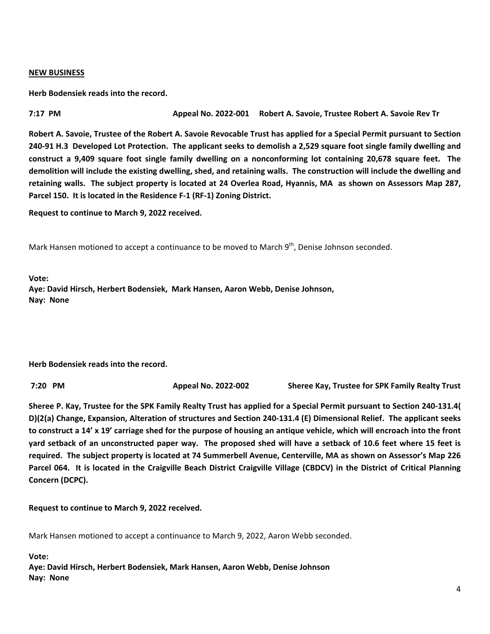#### **NEW BUSINESS**

**Herb Bodensiek reads into the record.** 

**7:17 PM Appeal No. 2022-001 Robert A. Savoie, Trustee Robert A. Savoie Rev Tr** 

**Robert A. Savoie, Trustee of the Robert A. Savoie Revocable Trust has applied for a Special Permit pursuant to Section 240-91 H.3 Developed Lot Protection. The applicant seeks to demolish a 2,529 square foot single family dwelling and construct a 9,409 square foot single family dwelling on a nonconforming lot containing 20,678 square feet. The demolition will include the existing dwelling, shed, and retaining walls. The construction will include the dwelling and retaining walls. The subject property is located at 24 Overlea Road, Hyannis, MA as shown on Assessors Map 287, Parcel 150. It is located in the Residence F-1 (RF-1) Zoning District.** 

**Request to continue to March 9, 2022 received.** 

Mark Hansen motioned to accept a continuance to be moved to March 9<sup>th</sup>, Denise Johnson seconded.

**Vote:** 

**Aye: David Hirsch, Herbert Bodensiek, Mark Hansen, Aaron Webb, Denise Johnson, Nay: None** 

**Herb Bodensiek reads into the record.** 

 **7:20 PM Appeal No. 2022-002 Sheree Kay, Trustee for SPK Family Realty Trust** 

**Sheree P. Kay, Trustee for the SPK Family Realty Trust has applied for a Special Permit pursuant to Section 240-131.4( D)(2(a) Change, Expansion, Alteration of structures and Section 240-131.4 (E) Dimensional Relief. The applicant seeks to construct a 14' x 19' carriage shed for the purpose of housing an antique vehicle, which will encroach into the front yard setback of an unconstructed paper way. The proposed shed will have a setback of 10.6 feet where 15 feet is required. The subject property is located at 74 Summerbell Avenue, Centerville, MA as shown on Assessor's Map 226 Parcel 064. It is located in the Craigville Beach District Craigville Village (CBDCV) in the District of Critical Planning Concern (DCPC).** 

**Request to continue to March 9, 2022 received.** 

Mark Hansen motioned to accept a continuance to March 9, 2022, Aaron Webb seconded.

**Vote:** 

**Aye: David Hirsch, Herbert Bodensiek, Mark Hansen, Aaron Webb, Denise Johnson Nay: None**